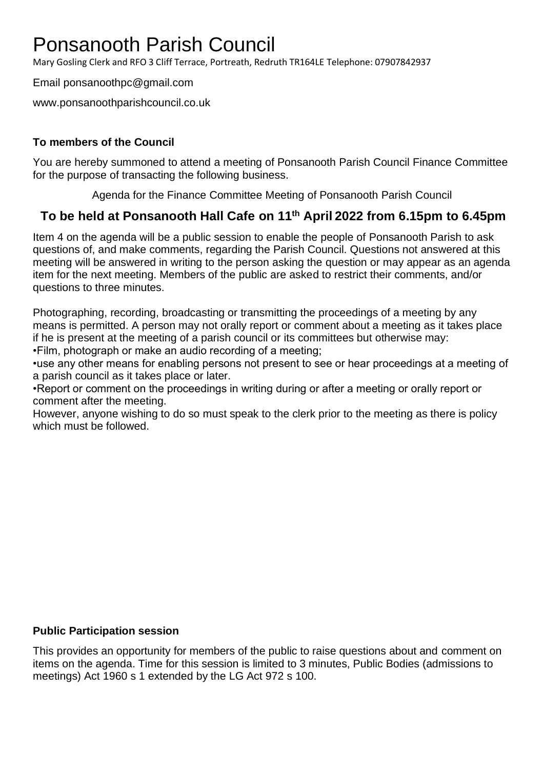# Ponsanooth Parish Council

Mary Gosling Clerk and RFO 3 Cliff Terrace, Portreath, Redruth TR164LE Telephone: 07907842937

Email ponsanoothpc@gmail.com

www.ponsanoothparishcouncil.co.uk

### **To members of the Council**

You are hereby summoned to attend a meeting of Ponsanooth Parish Council Finance Committee for the purpose of transacting the following business.

Agenda for the Finance Committee Meeting of Ponsanooth Parish Council

## **To be held at Ponsanooth Hall Cafe on 11 th April 2022 from 6.15pm to 6.45pm**

Item 4 on the agenda will be a public session to enable the people of Ponsanooth Parish to ask questions of, and make comments, regarding the Parish Council. Questions not answered at this meeting will be answered in writing to the person asking the question or may appear as an agenda item for the next meeting. Members of the public are asked to restrict their comments, and/or questions to three minutes.

Photographing, recording, broadcasting or transmitting the proceedings of a meeting by any means is permitted. A person may not orally report or comment about a meeting as it takes place if he is present at the meeting of a parish council or its committees but otherwise may: •Film, photograph or make an audio recording of a meeting;

•use any other means for enabling persons not present to see or hear proceedings at a meeting of a parish council as it takes place or later.

•Report or comment on the proceedings in writing during or after a meeting or orally report or comment after the meeting.

However, anyone wishing to do so must speak to the clerk prior to the meeting as there is policy which must be followed.

#### **Public Participation session**

This provides an opportunity for members of the public to raise questions about and comment on items on the agenda. Time for this session is limited to 3 minutes, Public Bodies (admissions to meetings) Act 1960 s 1 extended by the LG Act 972 s 100.